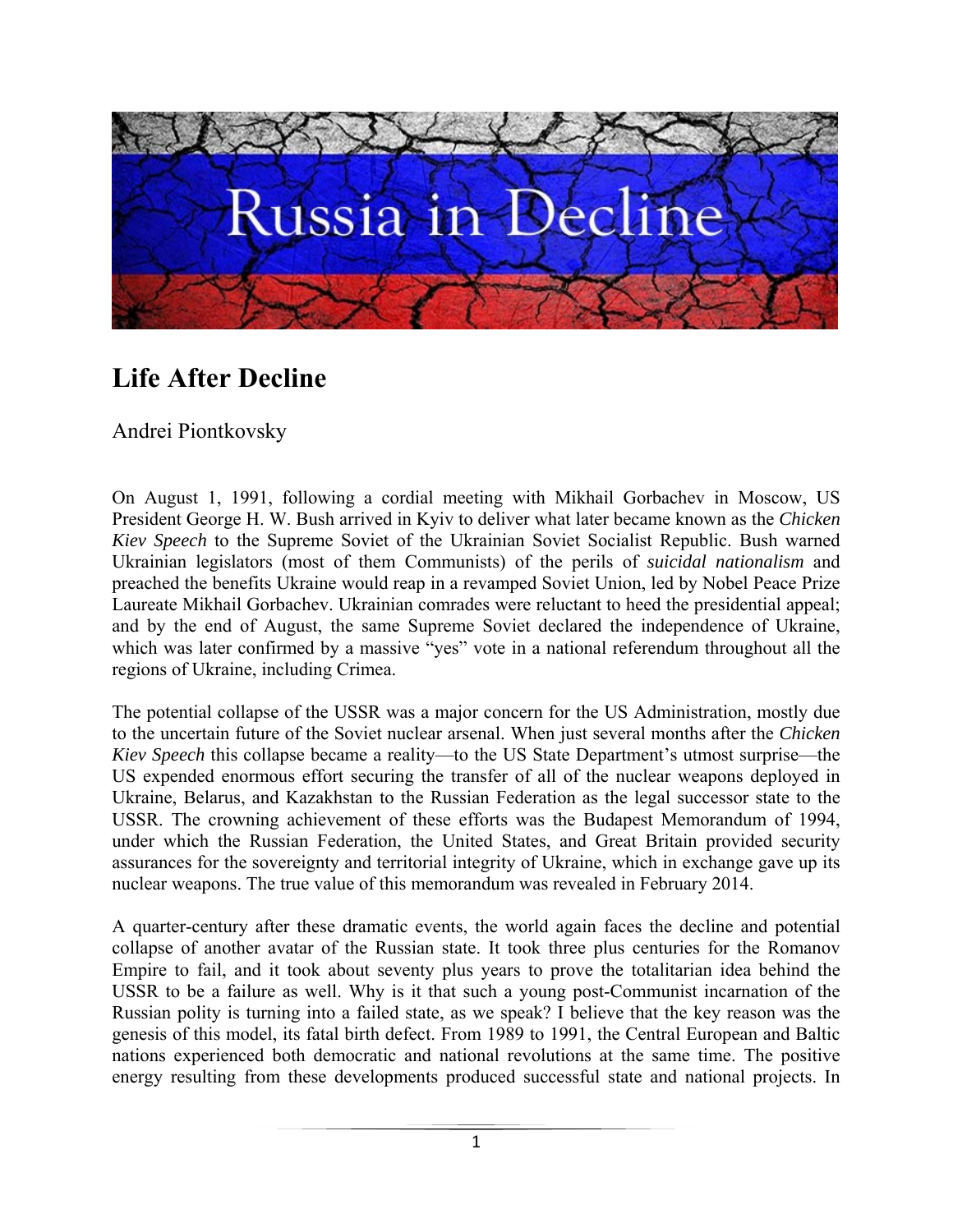

## **Life After Decline**

Аndrei Piontkovsky

On August 1, 1991, following a cordial meeting with Mikhail Gorbachev in Moscow, US President George H. W. Bush arrived in Kyiv to deliver what later became known as the *Chicken Kiev Speech* to the Supreme Soviet of the Ukrainian Soviet Socialist Republic. Bush warned Ukrainian legislators (most of them Communists) of the perils of *suicidal nationalism* and preached the benefits Ukraine would reap in a revamped Soviet Union, led by Nobel Peace Prize Laureate Mikhail Gorbachev. Ukrainian comrades were reluctant to heed the presidential appeal; and by the end of August, the same Supreme Soviet declared the independence of Ukraine, which was later confirmed by a massive "yes" vote in a national referendum throughout all the regions of Ukraine, including Crimea.

The potential collapse of the USSR was a major concern for the US Administration, mostly due to the uncertain future of the Soviet nuclear arsenal. When just several months after the *Chicken Kiev Speech* this collapse became a reality—to the US State Department's utmost surprise—the US expended enormous effort securing the transfer of all of the nuclear weapons deployed in Ukraine, Belarus, and Kazakhstan to the Russian Federation as the legal successor state to the USSR. The crowning achievement of these efforts was the Budapest Memorandum of 1994, under which the Russian Federation, the United States, and Great Britain provided security assurances for the sovereignty and territorial integrity of Ukraine, which in exchange gave up its nuclear weapons. The true value of this memorandum was revealed in February 2014.

A quarter-century after these dramatic events, the world again faces the decline and potential collapse of another avatar of the Russian state. It took three plus centuries for the Romanov Empire to fail, and it took about seventy plus years to prove the totalitarian idea behind the USSR to be a failure as well. Why is it that such a young post-Communist incarnation of the Russian polity is turning into a failed state, as we speak? I believe that the key reason was the genesis of this model, its fatal birth defect. From 1989 to 1991, the Central European and Baltic nations experienced both democratic and national revolutions at the same time. The positive energy resulting from these developments produced successful state and national projects. In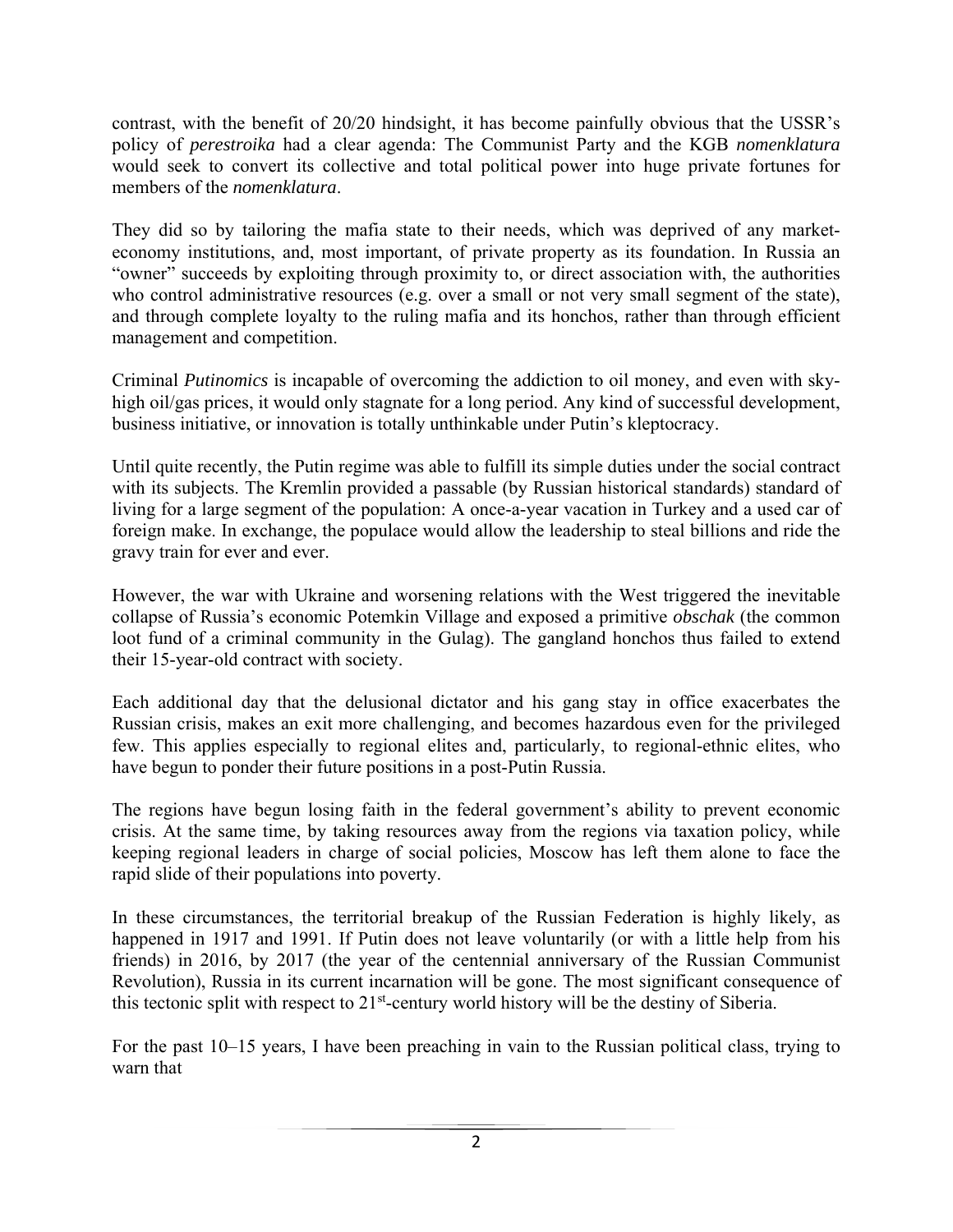contrast, with the benefit of 20/20 hindsight, it has become painfully obvious that the USSR's policy of *perestroika* had a clear agenda: The Communist Party and the KGB *nomenklatura* would seek to convert its collective and total political power into huge private fortunes for members of the *nomenklatura*.

They did so by tailoring the mafia state to their needs, which was deprived of any marketeconomy institutions, and, most important, of private property as its foundation. In Russia an "owner" succeeds by exploiting through proximity to, or direct association with, the authorities who control administrative resources (e.g. over a small or not very small segment of the state), and through complete loyalty to the ruling mafia and its honchos, rather than through efficient management and competition.

Criminal *Putinomics* is incapable of overcoming the addiction to oil money, and even with skyhigh oil/gas prices, it would only stagnate for a long period. Any kind of successful development, business initiative, or innovation is totally unthinkable under Putin's kleptocracy.

Until quite recently, the Putin regime was able to fulfill its simple duties under the social contract with its subjects. The Kremlin provided a passable (by Russian historical standards) standard of living for a large segment of the population: A once-a-year vacation in Turkey and a used car of foreign make. In exchange, the populace would allow the leadership to steal billions and ride the gravy train for ever and ever.

However, the war with Ukraine and worsening relations with the West triggered the inevitable collapse of Russia's economic Potemkin Village and exposed a primitive *obschak* (the common loot fund of a criminal community in the Gulag). The gangland honchos thus failed to extend their 15-year-old contract with society.

Each additional day that the delusional dictator and his gang stay in office exacerbates the Russian crisis, makes an exit more challenging, and becomes hazardous even for the privileged few. This applies especially to regional elites and, particularly, to regional-ethnic elites, who have begun to ponder their future positions in a post-Putin Russia.

The regions have begun losing faith in the federal government's ability to prevent economic crisis. At the same time, by taking resources away from the regions via taxation policy, while keeping regional leaders in charge of social policies, Moscow has left them alone to face the rapid slide of their populations into poverty.

In these circumstances, the territorial breakup of the Russian Federation is highly likely, as happened in 1917 and 1991. If Putin does not leave voluntarily (or with a little help from his friends) in 2016, by 2017 (the year of the centennial anniversary of the Russian Communist Revolution), Russia in its current incarnation will be gone. The most significant consequence of this tectonic split with respect to 21<sup>st</sup>-century world history will be the destiny of Siberia.

For the past 10–15 years, I have been preaching in vain to the Russian political class, trying to warn that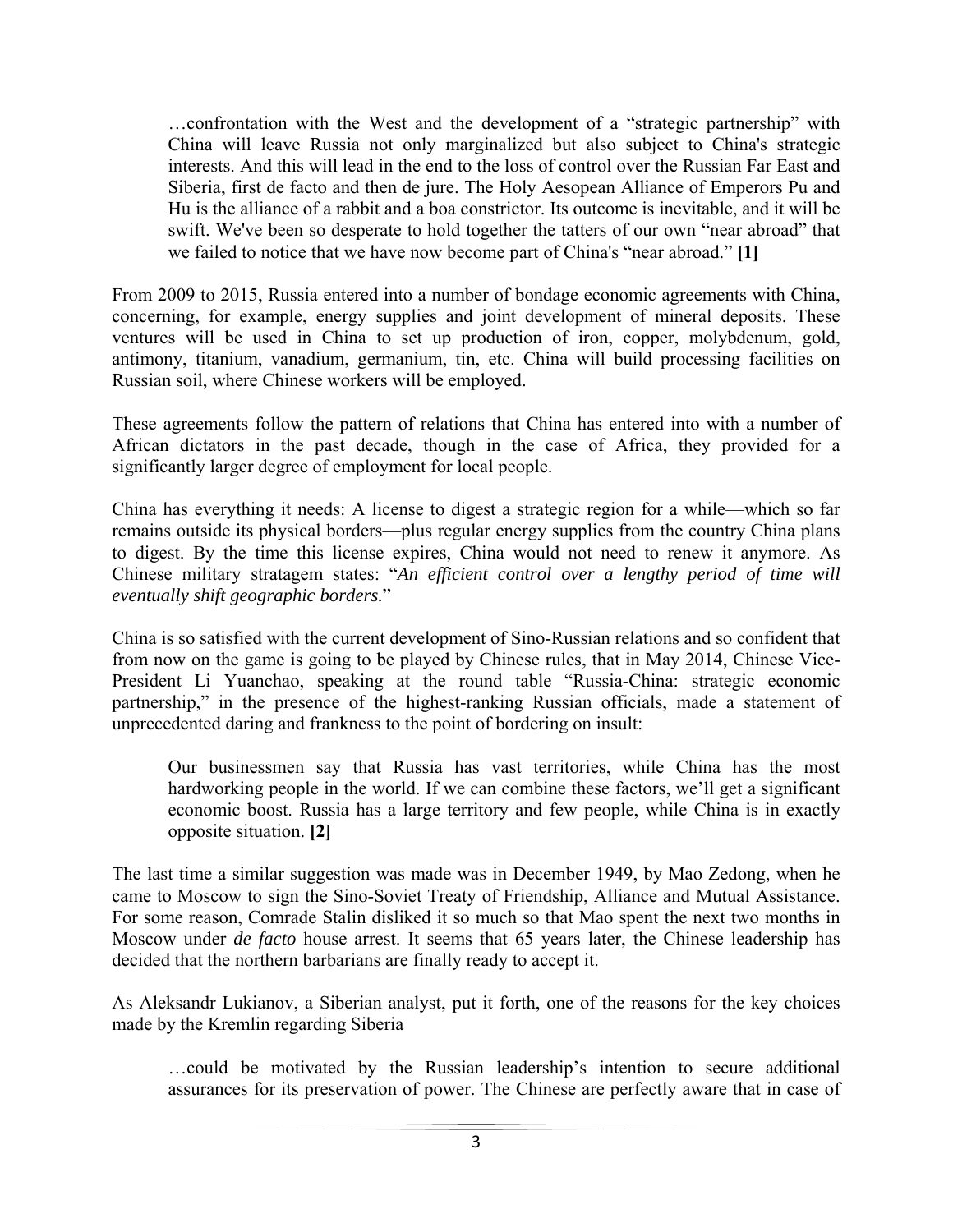…confrontation with the West and the development of a "strategic partnership" with China will leave Russia not only marginalized but also subject to China's strategic interests. And this will lead in the end to the loss of control over the Russian Far East and Siberia, first de facto and then de jure. The Holy Aesopean Alliance of Emperors Pu and Hu is the alliance of a rabbit and a boa constrictor. Its outcome is inevitable, and it will be swift. We've been so desperate to hold together the tatters of our own "near abroad" that we failed to notice that we have now become part of China's "near abroad." **[1]**

From 2009 to 2015, Russia entered into a number of bondage economic agreements with China, concerning, for example, energy supplies and joint development of mineral deposits. These ventures will be used in China to set up production of iron, copper, molybdenum, gold, antimony, titanium, vanadium, germanium, tin, etc. China will build processing facilities on Russian soil, where Chinese workers will be employed.

These agreements follow the pattern of relations that China has entered into with a number of African dictators in the past decade, though in the case of Africa, they provided for a significantly larger degree of employment for local people.

China has everything it needs: A license to digest a strategic region for a while—which so far remains outside its physical borders—plus regular energy supplies from the country China plans to digest. By the time this license expires, China would not need to renew it anymore. As Chinese military stratagem states: "*An efficient control over a lengthy period of time will eventually shift geographic borders.*"

China is so satisfied with the current development of Sino-Russian relations and so confident that from now on the game is going to be played by Chinese rules, that in May 2014, Chinese Vice-President Li Yuanchao, speaking at the round table "Russia-China: strategic economic partnership," in the presence of the highest-ranking Russian officials, made a statement of unprecedented daring and frankness to the point of bordering on insult:

Our businessmen say that Russia has vast territories, while China has the most hardworking people in the world. If we can combine these factors, we'll get a significant economic boost. Russia has a large territory and few people, while China is in exactly opposite situation. **[2]**

The last time a similar suggestion was made was in December 1949, by Mao Zedong, when he came to Moscow to sign the Sino-Soviet Treaty of Friendship, Alliance and Mutual Assistance. For some reason, Comrade Stalin disliked it so much so that Mao spent the next two months in Moscow under *de facto* house arrest. It seems that 65 years later, the Chinese leadership has decided that the northern barbarians are finally ready to accept it.

As Aleksandr Lukianov, a Siberian analyst, put it forth, one of the reasons for the key choices made by the Kremlin regarding Siberia

…could be motivated by the Russian leadership's intention to secure additional assurances for its preservation of power. The Chinese are perfectly aware that in case of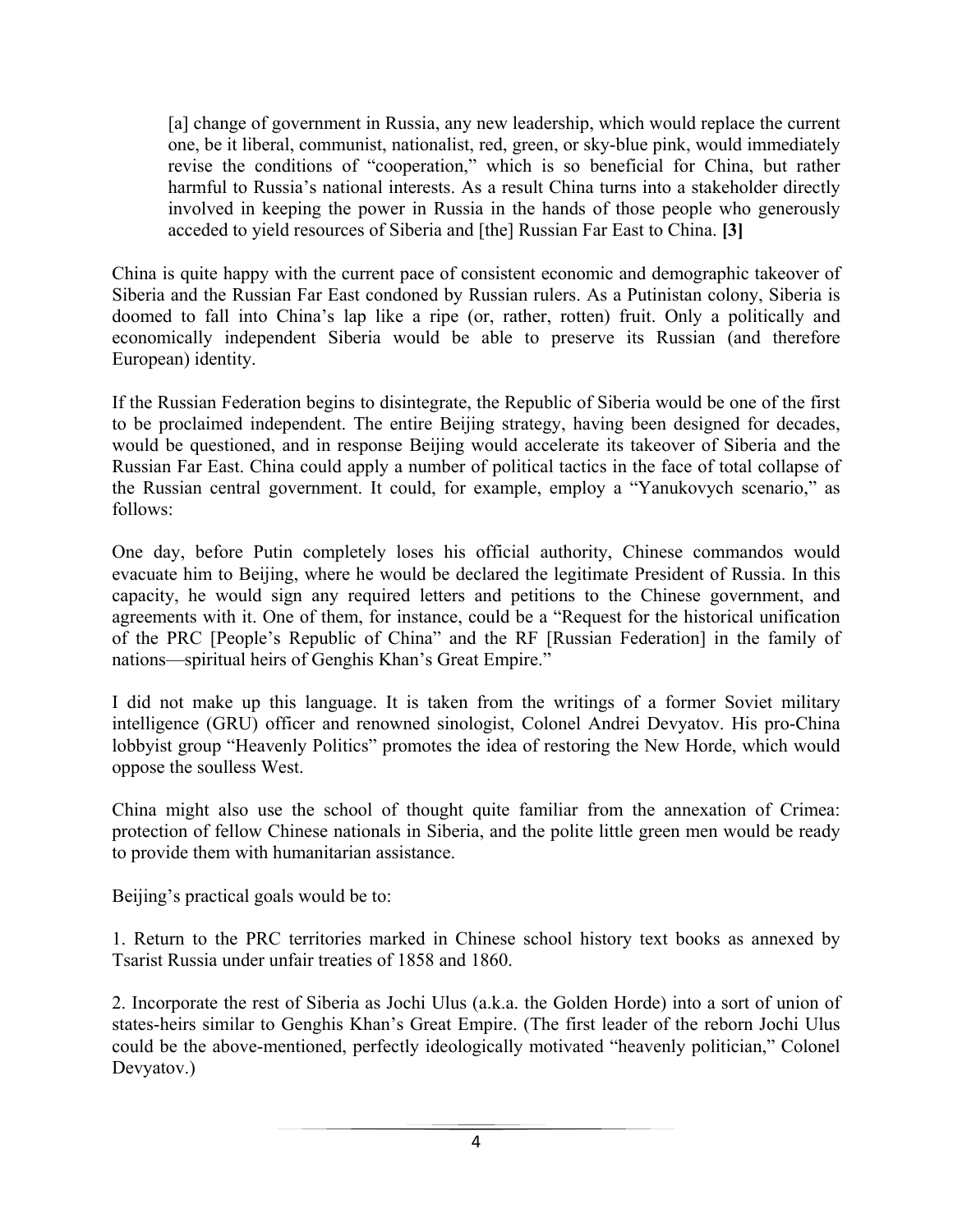[a] change of government in Russia, any new leadership, which would replace the current one, be it liberal, communist, nationalist, red, green, or sky-blue pink, would immediately revise the conditions of "cooperation," which is so beneficial for China, but rather harmful to Russia's national interests. As a result China turns into a stakeholder directly involved in keeping the power in Russia in the hands of those people who generously acceded to yield resources of Siberia and [the] Russian Far East to China. **[3]**

China is quite happy with the current pace of consistent economic and demographic takeover of Siberia and the Russian Far East condoned by Russian rulers. As a Putinistan colony, Siberia is doomed to fall into China's lap like a ripe (or, rather, rotten) fruit. Only a politically and economically independent Siberia would be able to preserve its Russian (and therefore European) identity.

If the Russian Federation begins to disintegrate, the Republic of Siberia would be one of the first to be proclaimed independent. The entire Beijing strategy, having been designed for decades, would be questioned, and in response Beijing would accelerate its takeover of Siberia and the Russian Far East. China could apply a number of political tactics in the face of total collapse of the Russian central government. It could, for example, employ a "Yanukovych scenario," as follows:

One day, before Putin completely loses his official authority, Chinese commandos would evacuate him to Beijing, where he would be declared the legitimate President of Russia. In this capacity, he would sign any required letters and petitions to the Chinese government, and agreements with it. One of them, for instance, could be a "Request for the historical unification of the PRC [People's Republic of China" and the RF [Russian Federation] in the family of nations—spiritual heirs of Genghis Khan's Great Empire."

I did not make up this language. It is taken from the writings of a former Soviet military intelligence (GRU) officer and renowned sinologist, Colonel Andrei Devyatov. His pro-China lobbyist group "Heavenly Politics" promotes the idea of restoring the New Horde, which would oppose the soulless West.

China might also use the school of thought quite familiar from the annexation of Crimea: protection of fellow Chinese nationals in Siberia, and the polite little green men would be ready to provide them with humanitarian assistance.

Beijing's practical goals would be to:

1. Return to the PRC territories marked in Chinese school history text books as annexed by Tsarist Russia under unfair treaties of 1858 and 1860.

2. Incorporate the rest of Siberia as Jochi Ulus (a.k.a. the Golden Horde) into a sort of union of states-heirs similar to Genghis Khan's Great Empire. (The first leader of the reborn Jochi Ulus could be the above-mentioned, perfectly ideologically motivated "heavenly politician," Colonel Devyatov.)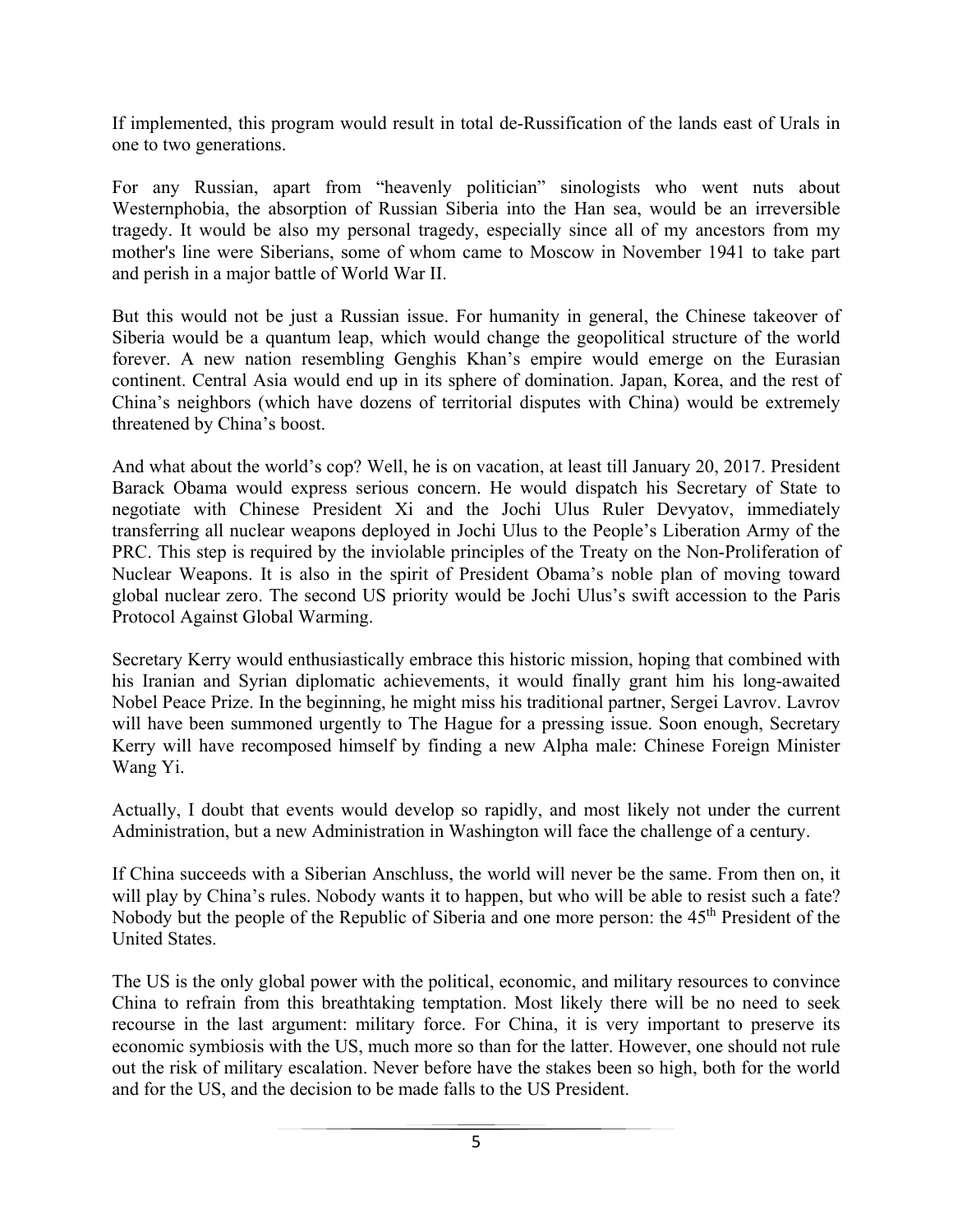If implemented, this program would result in total de-Russification of the lands east of Urals in one to two generations.

For any Russian, apart from "heavenly politician" sinologists who went nuts about Westernphobia, the absorption of Russian Siberia into the Han sea, would be an irreversible tragedy. It would be also my personal tragedy, especially since all of my ancestors from my mother's line were Siberians, some of whom came to Moscow in November 1941 to take part and perish in a major battle of World War II.

But this would not be just a Russian issue. For humanity in general, the Chinese takeover of Siberia would be a quantum leap, which would change the geopolitical structure of the world forever. A new nation resembling Genghis Khan's empire would emerge on the Eurasian continent. Central Asia would end up in its sphere of domination. Japan, Korea, and the rest of China's neighbors (which have dozens of territorial disputes with China) would be extremely threatened by China's boost.

And what about the world's cop? Well, he is on vacation, at least till January 20, 2017. President Barack Obama would express serious concern. He would dispatch his Secretary of State to negotiate with Chinese President Xi and the Jochi Ulus Ruler Devyatov, immediately transferring all nuclear weapons deployed in Jochi Ulus to the People's Liberation Army of the PRC. This step is required by the inviolable principles of the Treaty on the Non-Proliferation of Nuclear Weapons. It is also in the spirit of President Obama's noble plan of moving toward global nuclear zero. The second US priority would be Jochi Ulus's swift accession to the Paris Protocol Against Global Warming.

Secretary Kerry would enthusiastically embrace this historic mission, hoping that combined with his Iranian and Syrian diplomatic achievements, it would finally grant him his long-awaited Nobel Peace Prize. In the beginning, he might miss his traditional partner, Sergei Lavrov. Lavrov will have been summoned urgently to The Hague for a pressing issue. Soon enough, Secretary Kerry will have recomposed himself by finding a new Alpha male: Chinese Foreign Minister Wang Yi.

Actually, I doubt that events would develop so rapidly, and most likely not under the current Administration, but a new Administration in Washington will face the challenge of a century.

If China succeeds with a Siberian Anschluss, the world will never be the same. From then on, it will play by China's rules. Nobody wants it to happen, but who will be able to resist such a fate? Nobody but the people of the Republic of Siberia and one more person: the 45<sup>th</sup> President of the United States.

The US is the only global power with the political, economic, and military resources to convince China to refrain from this breathtaking temptation. Most likely there will be no need to seek recourse in the last argument: military force. For China, it is very important to preserve its economic symbiosis with the US, much more so than for the latter. However, one should not rule out the risk of military escalation. Never before have the stakes been so high, both for the world and for the US, and the decision to be made falls to the US President.